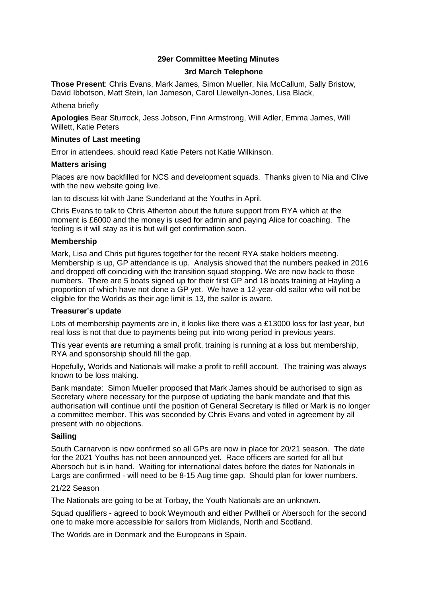# **29er Committee Meeting Minutes**

## **3rd March Telephone**

**Those Present**: Chris Evans, Mark James, Simon Mueller, Nia McCallum, Sally Bristow, David Ibbotson, Matt Stein, Ian Jameson, Carol Llewellyn-Jones, Lisa Black,

Athena briefly

**Apologies** Bear Sturrock, Jess Jobson, Finn Armstrong, Will Adler, Emma James, Will Willett, Katie Peters

### **Minutes of Last meeting**

Error in attendees, should read Katie Peters not Katie Wilkinson.

### **Matters arising**

Places are now backfilled for NCS and development squads. Thanks given to Nia and Clive with the new website going live.

Ian to discuss kit with Jane Sunderland at the Youths in April.

Chris Evans to talk to Chris Atherton about the future support from RYA which at the moment is £6000 and the money is used for admin and paying Alice for coaching. The feeling is it will stay as it is but will get confirmation soon.

### **Membership**

Mark, Lisa and Chris put figures together for the recent RYA stake holders meeting. Membership is up, GP attendance is up. Analysis showed that the numbers peaked in 2016 and dropped off coinciding with the transition squad stopping. We are now back to those numbers. There are 5 boats signed up for their first GP and 18 boats training at Hayling a proportion of which have not done a GP yet. We have a 12-year-old sailor who will not be eligible for the Worlds as their age limit is 13, the sailor is aware.

#### **Treasurer's update**

Lots of membership payments are in, it looks like there was a £13000 loss for last year, but real loss is not that due to payments being put into wrong period in previous years.

This year events are returning a small profit, training is running at a loss but membership, RYA and sponsorship should fill the gap.

Hopefully, Worlds and Nationals will make a profit to refill account. The training was always known to be loss making.

Bank mandate: Simon Mueller proposed that Mark James should be authorised to sign as Secretary where necessary for the purpose of updating the bank mandate and that this authorisation will continue until the position of General Secretary is filled or Mark is no longer a committee member. This was seconded by Chris Evans and voted in agreement by all present with no objections.

## **Sailing**

South Carnarvon is now confirmed so all GPs are now in place for 20/21 season. The date for the 2021 Youths has not been announced yet. Race officers are sorted for all but Abersoch but is in hand. Waiting for international dates before the dates for Nationals in Largs are confirmed - will need to be 8-15 Aug time gap. Should plan for lower numbers.

## 21/22 Season

The Nationals are going to be at Torbay, the Youth Nationals are an unknown.

Squad qualifiers - agreed to book Weymouth and either Pwllheli or Abersoch for the second one to make more accessible for sailors from Midlands, North and Scotland.

The Worlds are in Denmark and the Europeans in Spain.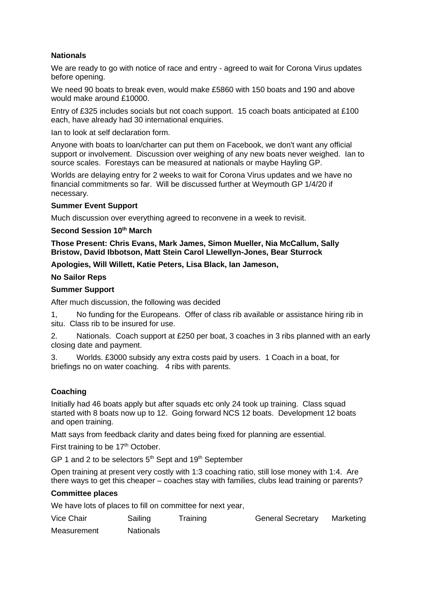## **Nationals**

We are ready to go with notice of race and entry - agreed to wait for Corona Virus updates before opening.

We need 90 boats to break even, would make £5860 with 150 boats and 190 and above would make around £10000.

Entry of £325 includes socials but not coach support. 15 coach boats anticipated at £100 each, have already had 30 international enquiries.

Ian to look at self declaration form.

Anyone with boats to loan/charter can put them on Facebook, we don't want any official support or involvement. Discussion over weighing of any new boats never weighed. Ian to source scales. Forestays can be measured at nationals or maybe Hayling GP.

Worlds are delaying entry for 2 weeks to wait for Corona Virus updates and we have no financial commitments so far. Will be discussed further at Weymouth GP 1/4/20 if necessary.

### **Summer Event Support**

Much discussion over everything agreed to reconvene in a week to revisit.

### **Second Session 10th March**

**Those Present: Chris Evans, Mark James, Simon Mueller, Nia McCallum, Sally Bristow, David Ibbotson, Matt Stein Carol Llewellyn-Jones, Bear Sturrock**

**Apologies, Will Willett, Katie Peters, Lisa Black, Ian Jameson,**

### **No Sailor Reps**

### **Summer Support**

After much discussion, the following was decided

1, No funding for the Europeans. Offer of class rib available or assistance hiring rib in situ. Class rib to be insured for use.

2. Nationals. Coach support at £250 per boat, 3 coaches in 3 ribs planned with an early closing date and payment.

3. Worlds. £3000 subsidy any extra costs paid by users. 1 Coach in a boat, for briefings no on water coaching. 4 ribs with parents.

## **Coaching**

Initially had 46 boats apply but after squads etc only 24 took up training. Class squad started with 8 boats now up to 12. Going forward NCS 12 boats. Development 12 boats and open training.

Matt says from feedback clarity and dates being fixed for planning are essential.

First training to be 17<sup>th</sup> October.

GP 1 and 2 to be selectors  $5<sup>th</sup>$  Sept and  $19<sup>th</sup>$  September

Open training at present very costly with 1:3 coaching ratio, still lose money with 1:4. Are there ways to get this cheaper – coaches stay with families, clubs lead training or parents?

## **Committee places**

We have lots of places to fill on committee for next year,

Vice Chair **Sailing** Training General Secretary Marketing Measurement Nationals